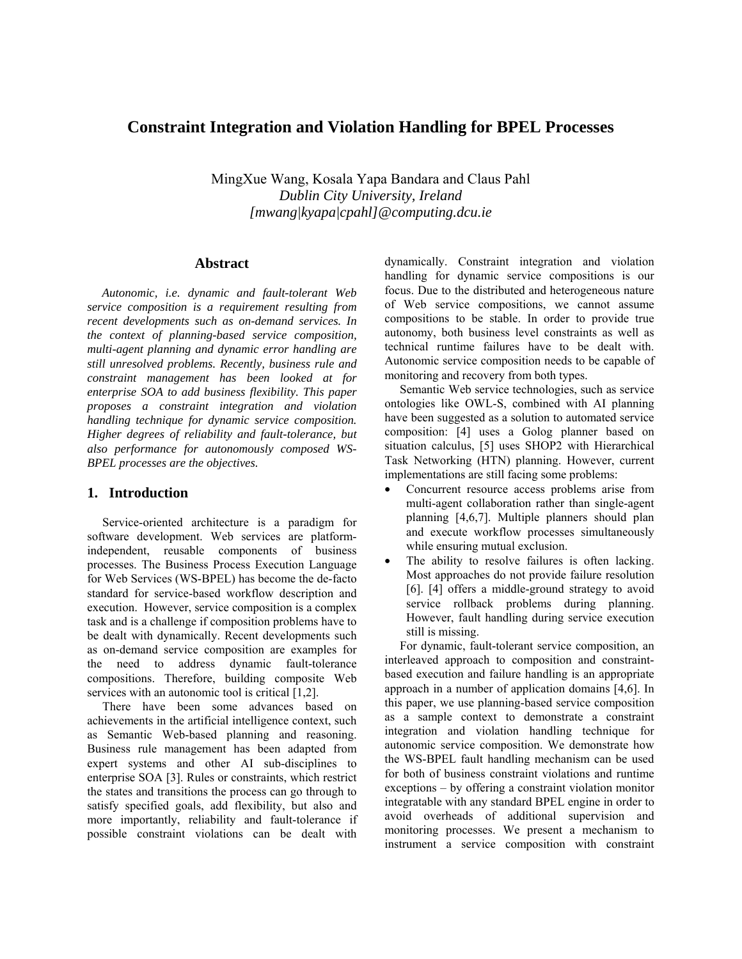# **Constraint Integration and Violation Handling for BPEL Processes**

MingXue Wang, Kosala Yapa Bandara and Claus Pahl *Dublin City University, Ireland [mwang|kyapa|cpahl]@computing.dcu.ie* 

## **Abstract**

*Autonomic, i.e. dynamic and fault-tolerant Web service composition is a requirement resulting from recent developments such as on-demand services. In the context of planning-based service composition, multi-agent planning and dynamic error handling are still unresolved problems. Recently, business rule and constraint management has been looked at for enterprise SOA to add business flexibility. This paper proposes a constraint integration and violation handling technique for dynamic service composition. Higher degrees of reliability and fault-tolerance, but also performance for autonomously composed WS-BPEL processes are the objectives.* 

# **1. Introduction**

 Service-oriented architecture is a paradigm for software development. Web services are platformindependent, reusable components of business processes. The Business Process Execution Language for Web Services (WS-BPEL) has become the de-facto standard for service-based workflow description and execution. However, service composition is a complex task and is a challenge if composition problems have to be dealt with dynamically. Recent developments such as on-demand service composition are examples for the need to address dynamic fault-tolerance compositions. Therefore, building composite Web services with an autonomic tool is critical [1,2].

 There have been some advances based on achievements in the artificial intelligence context, such as Semantic Web-based planning and reasoning. Business rule management has been adapted from expert systems and other AI sub-disciplines to enterprise SOA [3]. Rules or constraints, which restrict the states and transitions the process can go through to satisfy specified goals, add flexibility, but also and more importantly, reliability and fault-tolerance if possible constraint violations can be dealt with dynamically. Constraint integration and violation handling for dynamic service compositions is our focus. Due to the distributed and heterogeneous nature of Web service compositions, we cannot assume compositions to be stable. In order to provide true autonomy, both business level constraints as well as technical runtime failures have to be dealt with. Autonomic service composition needs to be capable of monitoring and recovery from both types.

 Semantic Web service technologies, such as service ontologies like OWL-S, combined with AI planning have been suggested as a solution to automated service composition: [4] uses a Golog planner based on situation calculus, [5] uses SHOP2 with Hierarchical Task Networking (HTN) planning. However, current implementations are still facing some problems:

- Concurrent resource access problems arise from multi-agent collaboration rather than single-agent planning [4,6,7]. Multiple planners should plan and execute workflow processes simultaneously while ensuring mutual exclusion.
- The ability to resolve failures is often lacking. Most approaches do not provide failure resolution [6]. [4] offers a middle-ground strategy to avoid service rollback problems during planning. However, fault handling during service execution still is missing.

 For dynamic, fault-tolerant service composition, an interleaved approach to composition and constraintbased execution and failure handling is an appropriate approach in a number of application domains [4,6]. In this paper, we use planning-based service composition as a sample context to demonstrate a constraint integration and violation handling technique for autonomic service composition. We demonstrate how the WS-BPEL fault handling mechanism can be used for both of business constraint violations and runtime exceptions – by offering a constraint violation monitor integratable with any standard BPEL engine in order to avoid overheads of additional supervision and monitoring processes. We present a mechanism to instrument a service composition with constraint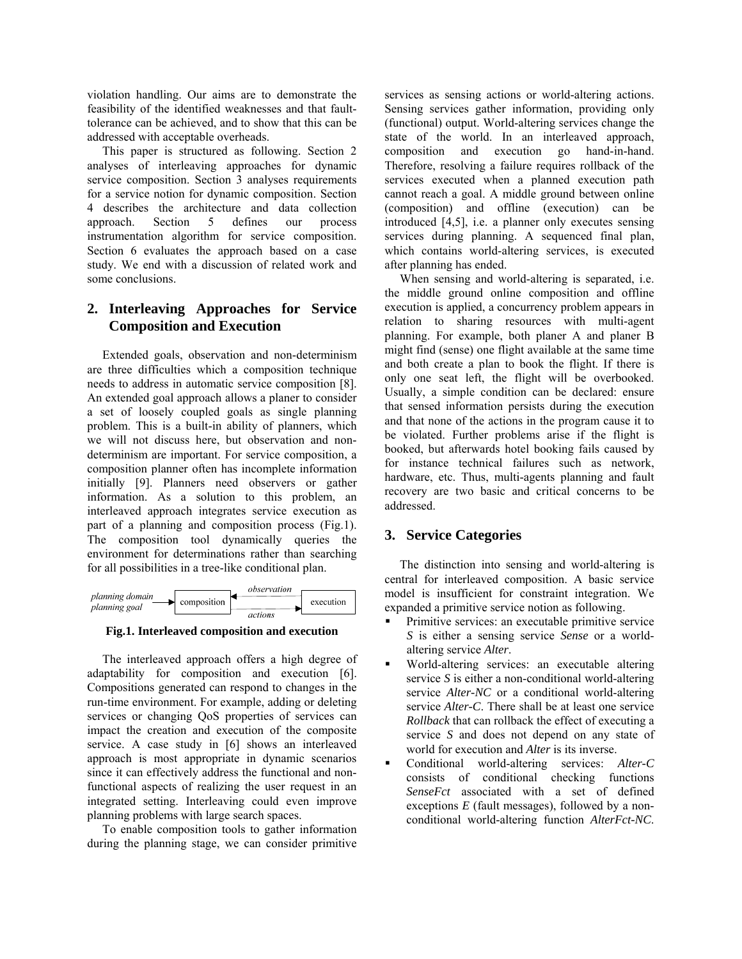violation handling. Our aims are to demonstrate the feasibility of the identified weaknesses and that faulttolerance can be achieved, and to show that this can be addressed with acceptable overheads.

 This paper is structured as following. Section 2 analyses of interleaving approaches for dynamic service composition. Section 3 analyses requirements for a service notion for dynamic composition. Section 4 describes the architecture and data collection approach. Section 5 defines our process instrumentation algorithm for service composition. Section 6 evaluates the approach based on a case study. We end with a discussion of related work and some conclusions.

# **2. Interleaving Approaches for Service Composition and Execution**

 Extended goals, observation and non-determinism are three difficulties which a composition technique needs to address in automatic service composition [8]. An extended goal approach allows a planer to consider a set of loosely coupled goals as single planning problem. This is a built-in ability of planners, which we will not discuss here, but observation and nondeterminism are important. For service composition, a composition planner often has incomplete information initially [9]. Planners need observers or gather information. As a solution to this problem, an interleaved approach integrates service execution as part of a planning and composition process (Fig.1). The composition tool dynamically queries the environment for determinations rather than searching for all possibilities in a tree-like conditional plan.



**Fig.1. Interleaved composition and execution** 

 The interleaved approach offers a high degree of adaptability for composition and execution [6]. Compositions generated can respond to changes in the run-time environment. For example, adding or deleting services or changing QoS properties of services can impact the creation and execution of the composite service. A case study in [6] shows an interleaved approach is most appropriate in dynamic scenarios since it can effectively address the functional and nonfunctional aspects of realizing the user request in an integrated setting. Interleaving could even improve planning problems with large search spaces.

 To enable composition tools to gather information during the planning stage, we can consider primitive services as sensing actions or world-altering actions. Sensing services gather information, providing only (functional) output. World-altering services change the state of the world. In an interleaved approach, composition and execution go hand-in-hand. Therefore, resolving a failure requires rollback of the services executed when a planned execution path cannot reach a goal. A middle ground between online (composition) and offline (execution) can be introduced [4,5], i.e. a planner only executes sensing services during planning. A sequenced final plan, which contains world-altering services, is executed after planning has ended.

 When sensing and world-altering is separated, i.e. the middle ground online composition and offline execution is applied, a concurrency problem appears in relation to sharing resources with multi-agent planning. For example, both planer A and planer B might find (sense) one flight available at the same time and both create a plan to book the flight. If there is only one seat left, the flight will be overbooked. Usually, a simple condition can be declared: ensure that sensed information persists during the execution and that none of the actions in the program cause it to be violated. Further problems arise if the flight is booked, but afterwards hotel booking fails caused by for instance technical failures such as network, hardware, etc. Thus, multi-agents planning and fault recovery are two basic and critical concerns to be addressed.

# **3. Service Categories**

 The distinction into sensing and world-altering is central for interleaved composition. A basic service model is insufficient for constraint integration. We expanded a primitive service notion as following.

- Primitive services: an executable primitive service *S* is either a sensing service *Sense* or a worldaltering service *Alter*.
- World-altering services: an executable altering service *S* is either a non-conditional world-altering service *Alter-NC* or a conditional world-altering service *Alter-C*. There shall be at least one service *Rollback* that can rollback the effect of executing a service *S* and does not depend on any state of world for execution and *Alter* is its inverse.
- Conditional world-altering services: *Alter-C* consists of conditional checking functions *SenseFct* associated with a set of defined exceptions *E* (fault messages), followed by a nonconditional world-altering function *AlterFct-NC*.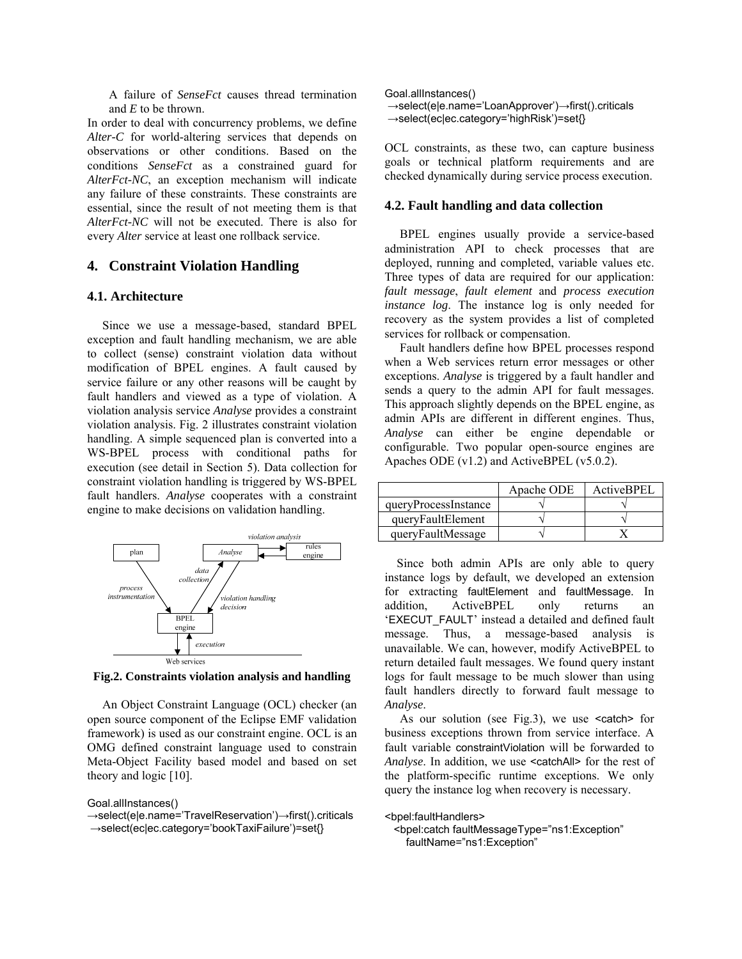A failure of *SenseFct* causes thread termination and *E* to be thrown.

In order to deal with concurrency problems, we define *Alter-C* for world-altering services that depends on observations or other conditions. Based on the conditions *SenseFct* as a constrained guard for *AlterFct-NC*, an exception mechanism will indicate any failure of these constraints. These constraints are essential, since the result of not meeting them is that *AlterFct-NC* will not be executed. There is also for every *Alter* service at least one rollback service.

# **4. Constraint Violation Handling**

#### **4.1. Architecture**

 Since we use a message-based, standard BPEL exception and fault handling mechanism, we are able to collect (sense) constraint violation data without modification of BPEL engines. A fault caused by service failure or any other reasons will be caught by fault handlers and viewed as a type of violation. A violation analysis service *Analyse* provides a constraint violation analysis. Fig. 2 illustrates constraint violation handling. A simple sequenced plan is converted into a WS-BPEL process with conditional paths for execution (see detail in Section 5). Data collection for constraint violation handling is triggered by WS-BPEL fault handlers. *Analyse* cooperates with a constraint engine to make decisions on validation handling.



**Fig.2. Constraints violation analysis and handling** 

 An Object Constraint Language (OCL) checker (an open source component of the Eclipse EMF validation framework) is used as our constraint engine. OCL is an OMG defined constraint language used to constrain Meta-Object Facility based model and based on set theory and logic [10].

Goal.allInstances()

```
Goal.allInstances() 
→select(e|e.name='LoanApprover')→first().criticals 
→select(ec|ec.category='highRisk')=set{}
```
OCL constraints, as these two, can capture business goals or technical platform requirements and are checked dynamically during service process execution.

### **4.2. Fault handling and data collection**

 BPEL engines usually provide a service-based administration API to check processes that are deployed, running and completed, variable values etc. Three types of data are required for our application: *fault message*, *fault element* and *process execution instance log*. The instance log is only needed for recovery as the system provides a list of completed services for rollback or compensation.

 Fault handlers define how BPEL processes respond when a Web services return error messages or other exceptions. *Analyse* is triggered by a fault handler and sends a query to the admin API for fault messages. This approach slightly depends on the BPEL engine, as admin APIs are different in different engines. Thus, *Analyse* can either be engine dependable or configurable. Two popular open-source engines are Apaches ODE (v1.2) and ActiveBPEL (v5.0.2).

|                      | Apache ODE | ActiveBPEL |
|----------------------|------------|------------|
| queryProcessInstance |            |            |
| queryFaultElement    |            |            |
| queryFaultMessage    |            |            |

 Since both admin APIs are only able to query instance logs by default, we developed an extension for extracting faultElement and faultMessage. In addition, ActiveBPEL only returns an 'EXECUT\_FAULT' instead a detailed and defined fault message. Thus, a message-based analysis is unavailable. We can, however, modify ActiveBPEL to return detailed fault messages. We found query instant logs for fault message to be much slower than using fault handlers directly to forward fault message to *Analyse*.

As our solution (see Fig.3), we use  $\leq$  catch for business exceptions thrown from service interface. A fault variable constraintViolation will be forwarded to *Analyse*. In addition, we use <catchAll> for the rest of the platform-specific runtime exceptions. We only query the instance log when recovery is necessary.

<bpel:faultHandlers>

 <bpel:catch faultMessageType="ns1:Exception" faultName="ns1:Exception"

<sup>→</sup>select(e|e.name='TravelReservation')→first().criticals →select(ec|ec.category='bookTaxiFailure')=set{}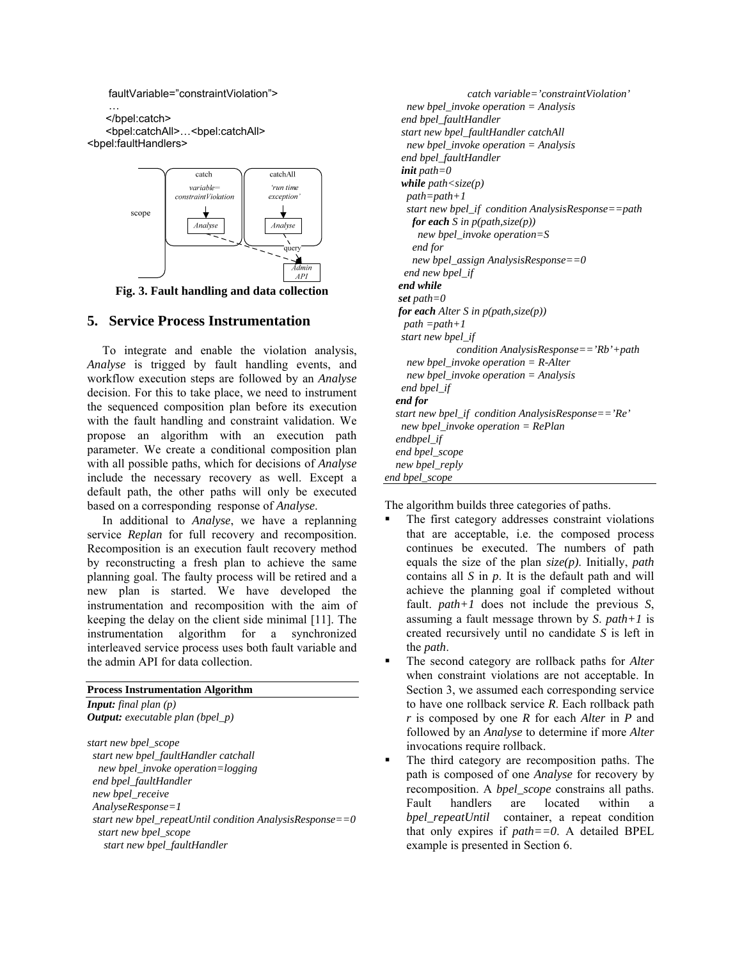

**Fig. 3. Fault handling and data collection** *end while set* path=0

 To integrate and enable the violation analysis, *Analyse* is trigged by fault handling events, and workflow execution steps are followed by an *Analyse* decision. For this to take place, we need to instrument the sequenced composition plan before its execution with the fault handling and constraint validation. We propose an algorithm with an execution path parameter. We create a conditional composition plan with all possible paths, which for decisions of *Analyse* include the necessary recovery as well. Except a default path, the other paths will only be executed based on a corresponding response of *Analyse*.

 In additional to *Analyse*, we have a replanning service *Replan* for full recovery and recomposition. Recomposition is an execution fault recovery method by reconstructing a fresh plan to achieve the same planning goal. The faulty process will be retired and a new plan is started. We have developed the instrumentation and recomposition with the aim of keeping the delay on the client side minimal [11]. The instrumentation algorithm for a synchronized interleaved service process uses both fault variable and the admin API for data collection. The second category are rollback paths for *Alter*

### **Process Instrumentation Algorithm**

| <b>Input:</b> final plan $(p)$             |
|--------------------------------------------|
| <b>Output:</b> executable plan (bpel $p$ ) |
|                                            |

*start new bpel\_scope new bpel\_invoke operation=logging end bpel\_faultHandler new bpel\_receive AnalyseResponse=1 start new bpel\_repeatUntil condition AnalysisResponse==0 start new bpel\_scope start new bpel\_faultHandler* 

 faultVariable="constraintViolation"> *catch variable='constraintViolation'*  … *new bpel\_invoke operation = Analysis*   $end$  *bpel\_faultHandler*  <bpel:catchAll>…<bpel:catchAll> *start new bpel\_faultHandler catchAll*  <bpel:faultHandlers> *new bpel\_invoke operation = Analysis end bpel\_faultHandler init path=0 while path<size(p) path=path+1 start new bpel\_if condition AnalysisResponse==path for each S* in  $p(path, size(p))$  *new bpel\_invoke operation=S end for new bpel\_assign AnalysisResponse==0 end new bpel\_if*  **5. Service Process Instrumentation** *for each Alter S in p(path,size(p)) path =path+1 path+1 start new bpel\_if condition AnalysisResponse=='Rb'+path new bpel\_invoke operation = R-Alter new bpel\_invoke operation = Analysis end bpel\_if end for start new bpel\_if condition AnalysisResponse=='Re' new bpel\_invoke operation = RePlan endbpel\_if end bpel\_scope new bpel\_reply end bpel\_scope* 

The algorithm builds three categories of paths.

- The first category addresses constraint violations that are acceptable, i.e. the composed process continues be executed. The numbers of path equals the size of the plan *size(p)*. Initially, *path* contains all *S* in *p*. It is the default path and will achieve the planning goal if completed without fault. *path+1* does not include the previous *S*, assuming a fault message thrown by *S*. *path+1* is created recursively until no candidate *S* is left in the *path*.
- when constraint violations are not acceptable. In Section 3, we assumed each corresponding service to have one rollback service *R*. Each rollback path *r* is composed by one *R* for each *Alter* in *P* and followed by an *Analyse* to determine if more *Alter* invocations require rollback.
- The third category are recomposition paths. The path is composed of one *Analyse* for recovery by recomposition. A *bpel\_scope* constrains all paths. Fault handlers are located within a *bpel repeatUntil* container, a repeat condition that only expires if *path==0*. A detailed BPEL example is presented in Section 6.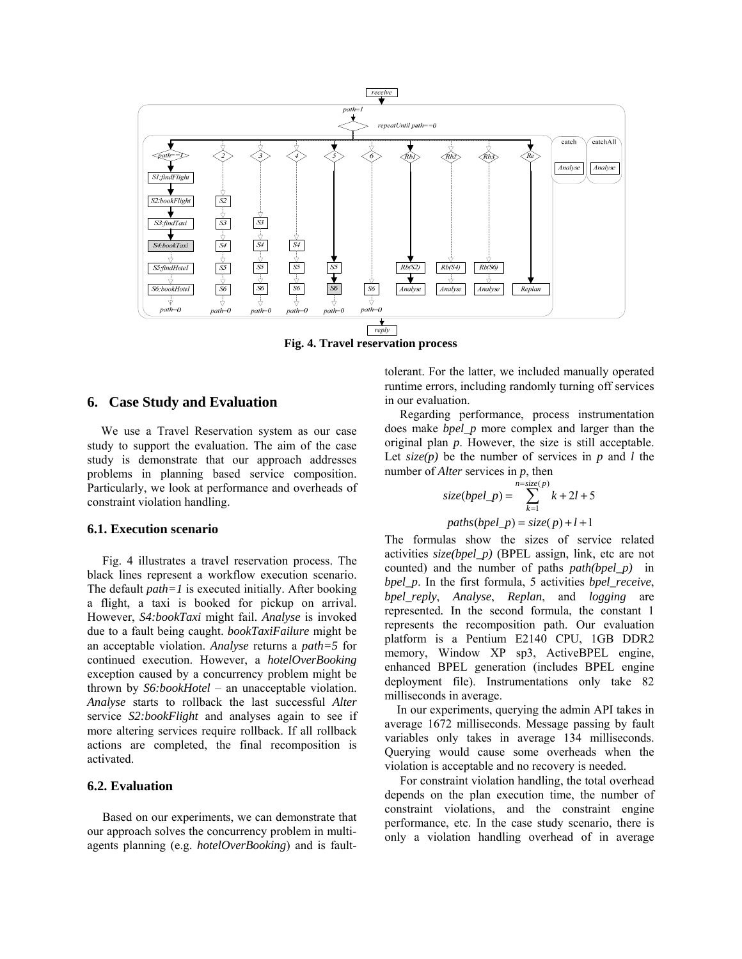

**Fig. 4. Travel reservation process** 

## **6. Case Study and Evaluation**

 We use a Travel Reservation system as our case study to support the evaluation. The aim of the case study is demonstrate that our approach addresses problems in planning based service composition. Particularly, we look at performance and overheads of constraint violation handling.

#### **6.1. Execution scenario**

 Fig. 4 illustrates a travel reservation process. The black lines represent a workflow execution scenario. The default *path=1* is executed initially. After booking a flight, a taxi is booked for pickup on arrival. However, *S4:bookTaxi* might fail. *Analyse* is invoked due to a fault being caught. *bookTaxiFailure* might be an acceptable violation. *Analyse* returns a *path=5* for continued execution. However, a *hotelOverBooking*  exception caused by a concurrency problem might be thrown by *S6:bookHotel* – an unacceptable violation. *Analyse* starts to rollback the last successful *Alter* service *S2:bookFlight* and analyses again to see if more altering services require rollback. If all rollback actions are completed, the final recomposition is activated.

## **6.2. Evaluation**

 Based on our experiments, we can demonstrate that our approach solves the concurrency problem in multiagents planning (e.g. *hotelOverBooking*) and is faulttolerant. For the latter, we included manually operated runtime errors, including randomly turning off services in our evaluation.

 Regarding performance, process instrumentation does make *bpel\_p* more complex and larger than the original plan *p*. However, the size is still acceptable. Let *size(p)* be the number of services in *p* and *l* the number of *Alter* services in *p*, then

$$
size(bpel\_p) = \sum_{k=1}^{n=size(p)} k + 2l + 5
$$

$$
paths(bpel\_p) = size(p) + l + 1
$$

The formulas show the sizes of service related activities *size(bpel\_p)* (BPEL assign, link, etc are not counted) and the number of paths *path(bpel\_p)* in *bpel\_p*. In the first formula, 5 activities *bpel\_receive*, *bpel\_reply*, *Analyse*, *Replan*, and *logging* are represented*.* In the second formula, the constant 1 represents the recomposition path. Our evaluation platform is a Pentium E2140 CPU, 1GB DDR2 memory, Window XP sp3, ActiveBPEL engine, enhanced BPEL generation (includes BPEL engine deployment file). Instrumentations only take 82 milliseconds in average.

 In our experiments, querying the admin API takes in average 1672 milliseconds. Message passing by fault variables only takes in average 134 milliseconds. Querying would cause some overheads when the violation is acceptable and no recovery is needed.

 For constraint violation handling, the total overhead depends on the plan execution time, the number of constraint violations, and the constraint engine performance, etc. In the case study scenario, there is only a violation handling overhead of in average